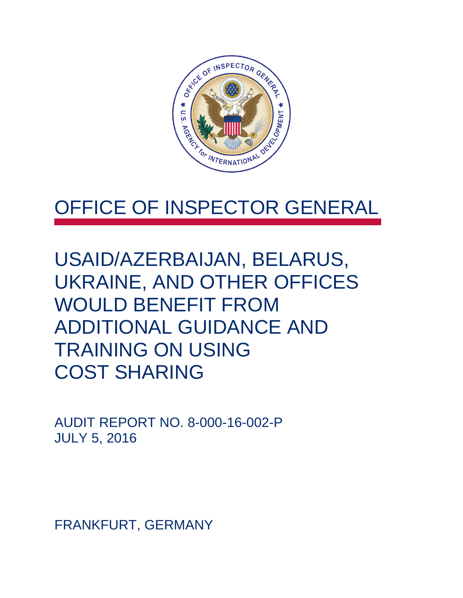

## OFFICE OF INSPECTOR GENERAL

USAID/AZERBAIJAN, BELARUS, UKRAINE, AND OTHER OFFICES WOULD BENEFIT FROM ADDITIONAL GUIDANCE AND TRAINING ON USING COST SHARING

AUDIT REPORT NO. 8-000-16-002-P JULY 5, 2016

FRANKFURT, GERMANY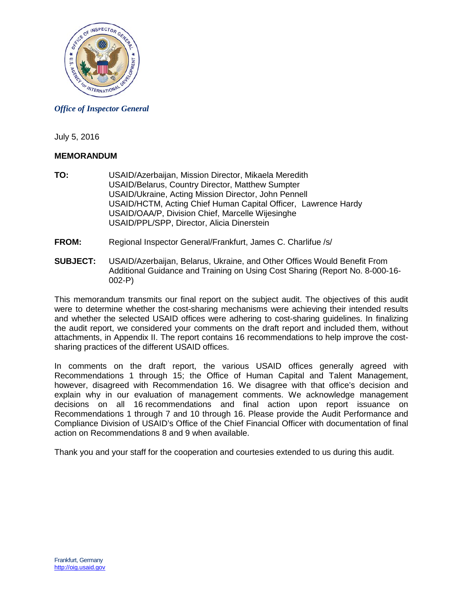

*Office of Inspector General*

July 5, 2016

## **MEMORANDUM**

- **TO:** USAID/Azerbaijan, Mission Director, Mikaela Meredith USAID/Belarus, Country Director, Matthew Sumpter USAID/Ukraine, Acting Mission Director, John Pennell USAID/HCTM, Acting Chief Human Capital Officer, Lawrence Hardy USAID/OAA/P, Division Chief, Marcelle Wijesinghe USAID/PPL/SPP, Director, Alicia Dinerstein
- **FROM:** Regional Inspector General/Frankfurt, James C. Charlifue /s/
- **SUBJECT:** USAID/Azerbaijan, Belarus, Ukraine, and Other Offices Would Benefit From Additional Guidance and Training on Using Cost Sharing (Report No. 8-000-16- 002-P)

This memorandum transmits our final report on the subject audit. The objectives of this audit were to determine whether the cost-sharing mechanisms were achieving their intended results and whether the selected USAID offices were adhering to cost-sharing guidelines. In finalizing the audit report, we considered your comments on the draft report and included them, without attachments, in Appendix II. The report contains 16 recommendations to help improve the costsharing practices of the different USAID offices.

In comments on the draft report, the various USAID offices generally agreed with Recommendations 1 through 15; the Office of Human Capital and Talent Management, however, disagreed with Recommendation 16. We disagree with that office's decision and explain why in our evaluation of management comments. We acknowledge management decisions on all 16 recommendations and final action upon report issuance on Recommendations 1 through 7 and 10 through 16. Please provide the Audit Performance and Compliance Division of USAID's Office of the Chief Financial Officer with documentation of final action on Recommendations 8 and 9 when available.

Thank you and your staff for the cooperation and courtesies extended to us during this audit.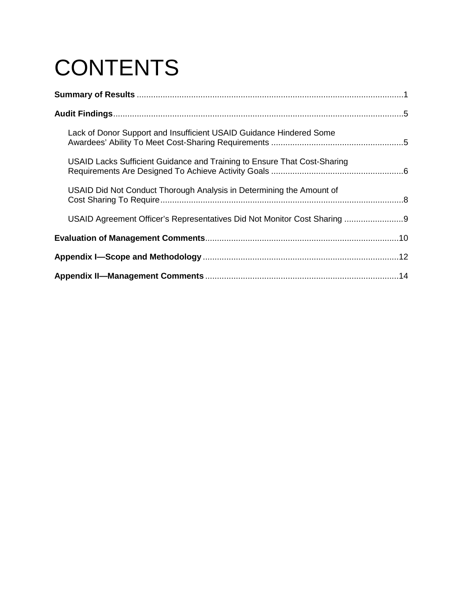# **CONTENTS**

| Lack of Donor Support and Insufficient USAID Guidance Hindered Some      |  |
|--------------------------------------------------------------------------|--|
| USAID Lacks Sufficient Guidance and Training to Ensure That Cost-Sharing |  |
| USAID Did Not Conduct Thorough Analysis in Determining the Amount of     |  |
| USAID Agreement Officer's Representatives Did Not Monitor Cost Sharing   |  |
|                                                                          |  |
|                                                                          |  |
|                                                                          |  |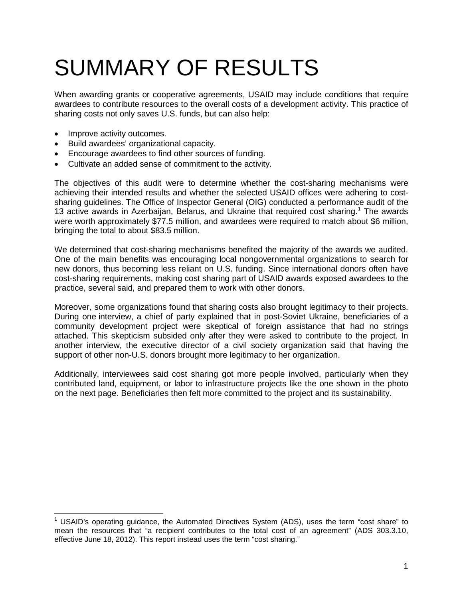# SUMMARY OF RESULTS

When awarding grants or cooperative agreements, USAID may include conditions that require awardees to contribute resources to the overall costs of a development activity. This practice of sharing costs not only saves U.S. funds, but can also help:

- Improve activity outcomes.
- Build awardees' organizational capacity.
- Encourage awardees to find other sources of funding.
- Cultivate an added sense of commitment to the activity.

The objectives of this audit were to determine whether the cost-sharing mechanisms were achieving their intended results and whether the selected USAID offices were adhering to costsharing guidelines. The Office of Inspector General (OIG) conducted a performance audit of the [1](#page-3-0)3 active awards in Azerbaijan, Belarus, and Ukraine that required cost sharing.<sup>1</sup> The awards were worth approximately \$77.5 million, and awardees were required to match about \$6 million, bringing the total to about \$83.5 million.

We determined that cost-sharing mechanisms benefited the majority of the awards we audited. One of the main benefits was encouraging local nongovernmental organizations to search for new donors, thus becoming less reliant on U.S. funding. Since international donors often have cost-sharing requirements, making cost sharing part of USAID awards exposed awardees to the practice, several said, and prepared them to work with other donors.

Moreover, some organizations found that sharing costs also brought legitimacy to their projects. During one interview, a chief of party explained that in post-Soviet Ukraine, beneficiaries of a community development project were skeptical of foreign assistance that had no strings attached. This skepticism subsided only after they were asked to contribute to the project. In another interview, the executive director of a civil society organization said that having the support of other non-U.S. donors brought more legitimacy to her organization.

Additionally, interviewees said cost sharing got more people involved, particularly when they contributed land, equipment, or labor to infrastructure projects like the one shown in the photo on the next page. Beneficiaries then felt more committed to the project and its sustainability.

<span id="page-3-0"></span> $<sup>1</sup>$  USAID's operating guidance, the Automated Directives System (ADS), uses the term "cost share" to</sup> mean the resources that "a recipient contributes to the total cost of an agreement" (ADS 303.3.10, effective June 18, 2012). This report instead uses the term "cost sharing."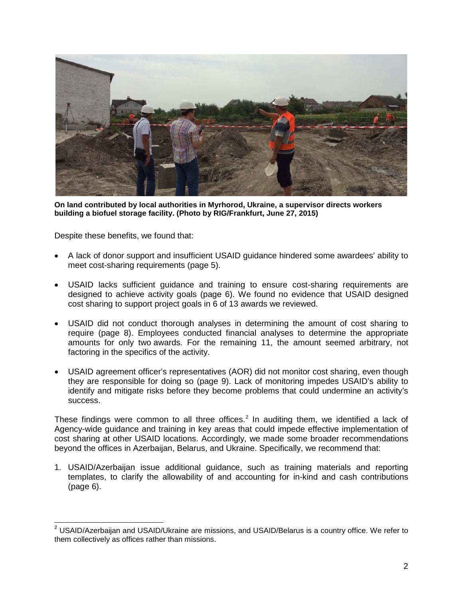

**On land contributed by local authorities in Myrhorod, Ukraine, a supervisor directs workers building a biofuel storage facility. (Photo by RIG/Frankfurt, June 27, 2015)** 

Despite these benefits, we found that:

- A lack of donor support and insufficient USAID guidance hindered some awardees' ability to meet cost-sharing requirements (page 5).
- USAID lacks sufficient guidance and training to ensure cost-sharing requirements are designed to achieve activity goals (page 6). We found no evidence that USAID designed cost sharing to support project goals in 6 of 13 awards we reviewed.
- USAID did not conduct thorough analyses in determining the amount of cost sharing to require (page 8). Employees conducted financial analyses to determine the appropriate amounts for only two awards. For the remaining 11, the amount seemed arbitrary, not factoring in the specifics of the activity.
- USAID agreement officer's representatives (AOR) did not monitor cost sharing, even though they are responsible for doing so (page 9). Lack of monitoring impedes USAID's ability to identify and mitigate risks before they become problems that could undermine an activity's success.

These findings were common to all three offices.<sup>[2](#page-4-0)</sup> In auditing them, we identified a lack of Agency-wide guidance and training in key areas that could impede effective implementation of cost sharing at other USAID locations. Accordingly, we made some broader recommendations beyond the offices in Azerbaijan, Belarus, and Ukraine. Specifically, we recommend that:

1. USAID/Azerbaijan issue additional guidance, such as training materials and reporting templates, to clarify the allowability of and accounting for in-kind and cash contributions (page 6).

<span id="page-4-0"></span> $2$  USAID/Azerbaijan and USAID/Ukraine are missions, and USAID/Belarus is a country office. We refer to them collectively as offices rather than missions.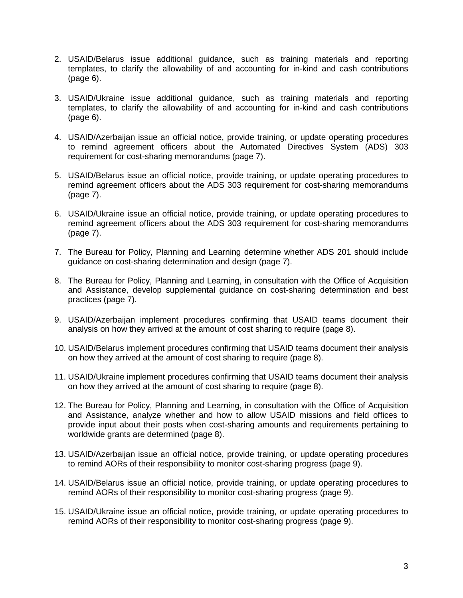- 2. USAID/Belarus issue additional guidance, such as training materials and reporting templates, to clarify the allowability of and accounting for in-kind and cash contributions (page 6).
- 3. USAID/Ukraine issue additional guidance, such as training materials and reporting templates, to clarify the allowability of and accounting for in-kind and cash contributions (page 6).
- 4. USAID/Azerbaijan issue an official notice, provide training, or update operating procedures to remind agreement officers about the Automated Directives System (ADS) 303 requirement for cost-sharing memorandums (page 7).
- 5. USAID/Belarus issue an official notice, provide training, or update operating procedures to remind agreement officers about the ADS 303 requirement for cost-sharing memorandums (page 7).
- 6. USAID/Ukraine issue an official notice, provide training, or update operating procedures to remind agreement officers about the ADS 303 requirement for cost-sharing memorandums (page 7).
- 7. The Bureau for Policy, Planning and Learning determine whether ADS 201 should include guidance on cost-sharing determination and design (page 7).
- 8. The Bureau for Policy, Planning and Learning, in consultation with the Office of Acquisition and Assistance, develop supplemental guidance on cost-sharing determination and best practices (page 7).
- 9. USAID/Azerbaijan implement procedures confirming that USAID teams document their analysis on how they arrived at the amount of cost sharing to require (page 8).
- 10. USAID/Belarus implement procedures confirming that USAID teams document their analysis on how they arrived at the amount of cost sharing to require (page 8).
- 11. USAID/Ukraine implement procedures confirming that USAID teams document their analysis on how they arrived at the amount of cost sharing to require (page 8).
- 12. The Bureau for Policy, Planning and Learning, in consultation with the Office of Acquisition and Assistance, analyze whether and how to allow USAID missions and field offices to provide input about their posts when cost-sharing amounts and requirements pertaining to worldwide grants are determined (page 8).
- 13. USAID/Azerbaijan issue an official notice, provide training, or update operating procedures to remind AORs of their responsibility to monitor cost-sharing progress (page 9).
- 14. USAID/Belarus issue an official notice, provide training, or update operating procedures to remind AORs of their responsibility to monitor cost-sharing progress (page 9).
- 15. USAID/Ukraine issue an official notice, provide training, or update operating procedures to remind AORs of their responsibility to monitor cost-sharing progress (page 9).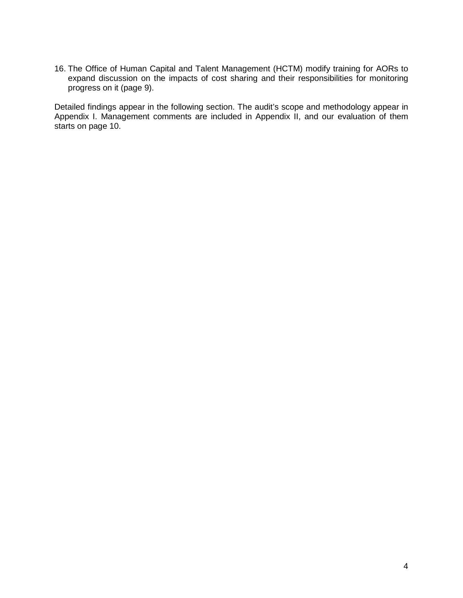16. The Office of Human Capital and Talent Management (HCTM) modify training for AORs to expand discussion on the impacts of cost sharing and their responsibilities for monitoring progress on it (page 9).

Detailed findings appear in the following section. The audit's scope and methodology appear in Appendix I. Management comments are included in Appendix II, and our evaluation of them starts on page 10.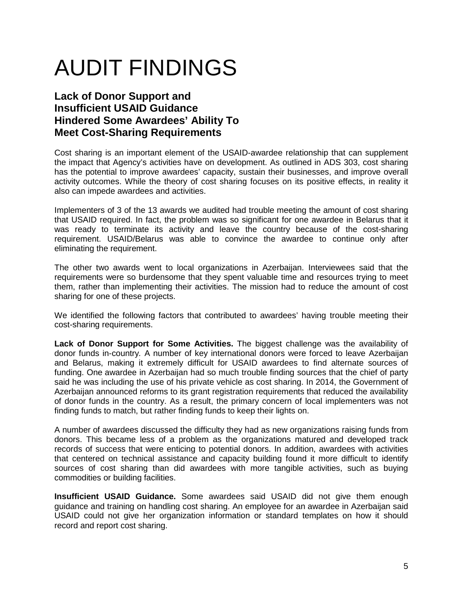# AUDIT FINDINGS

## <span id="page-7-0"></span>**Lack of Donor Support and Insufficient USAID Guidance Hindered Some Awardees' Ability To Meet Cost-Sharing Requirements**

Cost sharing is an important element of the USAID-awardee relationship that can supplement the impact that Agency's activities have on development. As outlined in ADS 303, cost sharing has the potential to improve awardees' capacity, sustain their businesses, and improve overall activity outcomes. While the theory of cost sharing focuses on its positive effects, in reality it also can impede awardees and activities.

Implementers of 3 of the 13 awards we audited had trouble meeting the amount of cost sharing that USAID required. In fact, the problem was so significant for one awardee in Belarus that it was ready to terminate its activity and leave the country because of the cost-sharing requirement. USAID/Belarus was able to convince the awardee to continue only after eliminating the requirement.

The other two awards went to local organizations in Azerbaijan. Interviewees said that the requirements were so burdensome that they spent valuable time and resources trying to meet them, rather than implementing their activities. The mission had to reduce the amount of cost sharing for one of these projects.

We identified the following factors that contributed to awardees' having trouble meeting their cost-sharing requirements.

**Lack of Donor Support for Some Activities.** The biggest challenge was the availability of donor funds in-country*.* A number of key international donors were forced to leave Azerbaijan and Belarus, making it extremely difficult for USAID awardees to find alternate sources of funding. One awardee in Azerbaijan had so much trouble finding sources that the chief of party said he was including the use of his private vehicle as cost sharing. In 2014, the Government of Azerbaijan announced reforms to its grant registration requirements that reduced the availability of donor funds in the country. As a result, the primary concern of local implementers was not finding funds to match, but rather finding funds to keep their lights on.

A number of awardees discussed the difficulty they had as new organizations raising funds from donors. This became less of a problem as the organizations matured and developed track records of success that were enticing to potential donors. In addition, awardees with activities that centered on technical assistance and capacity building found it more difficult to identify sources of cost sharing than did awardees with more tangible activities, such as buying commodities or building facilities.

**Insufficient USAID Guidance.** Some awardees said USAID did not give them enough guidance and training on handling cost sharing. An employee for an awardee in Azerbaijan said USAID could not give her organization information or standard templates on how it should record and report cost sharing.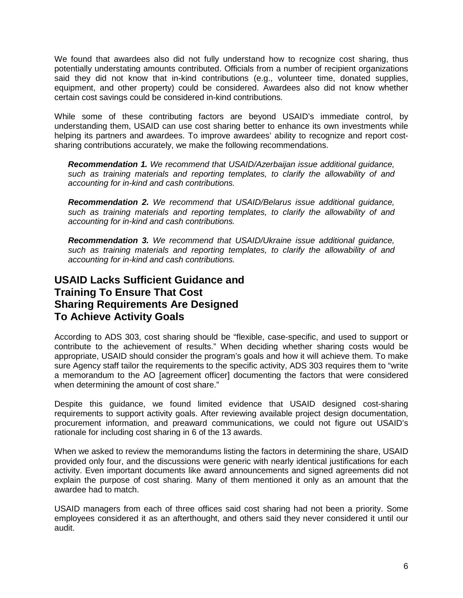We found that awardees also did not fully understand how to recognize cost sharing, thus potentially understating amounts contributed. Officials from a number of recipient organizations said they did not know that in-kind contributions (e.g., volunteer time, donated supplies, equipment, and other property) could be considered. Awardees also did not know whether certain cost savings could be considered in-kind contributions.

While some of these contributing factors are beyond USAID's immediate control, by understanding them, USAID can use cost sharing better to enhance its own investments while helping its partners and awardees. To improve awardees' ability to recognize and report costsharing contributions accurately, we make the following recommendations.

*Recommendation 1. We recommend that USAID/Azerbaijan issue additional guidance, such as training materials and reporting templates, to clarify the allowability of and accounting for in-kind and cash contributions.*

*Recommendation 2. We recommend that USAID/Belarus issue additional guidance, such as training materials and reporting templates, to clarify the allowability of and accounting for in-kind and cash contributions.*

*Recommendation 3. We recommend that USAID/Ukraine issue additional guidance, such as training materials and reporting templates, to clarify the allowability of and accounting for in-kind and cash contributions.*

## <span id="page-8-0"></span>**USAID Lacks Sufficient Guidance and Training To Ensure That Cost Sharing Requirements Are Designed To Achieve Activity Goals**

According to ADS 303, cost sharing should be "flexible, case-specific, and used to support or contribute to the achievement of results." When deciding whether sharing costs would be appropriate, USAID should consider the program's goals and how it will achieve them. To make sure Agency staff tailor the requirements to the specific activity, ADS 303 requires them to "write a memorandum to the AO [agreement officer] documenting the factors that were considered when determining the amount of cost share."

Despite this guidance, we found limited evidence that USAID designed cost-sharing requirements to support activity goals. After reviewing available project design documentation, procurement information, and preaward communications, we could not figure out USAID's rationale for including cost sharing in 6 of the 13 awards.

When we asked to review the memorandums listing the factors in determining the share, USAID provided only four, and the discussions were generic with nearly identical justifications for each activity. Even important documents like award announcements and signed agreements did not explain the purpose of cost sharing. Many of them mentioned it only as an amount that the awardee had to match.

USAID managers from each of three offices said cost sharing had not been a priority. Some employees considered it as an afterthought, and others said they never considered it until our audit.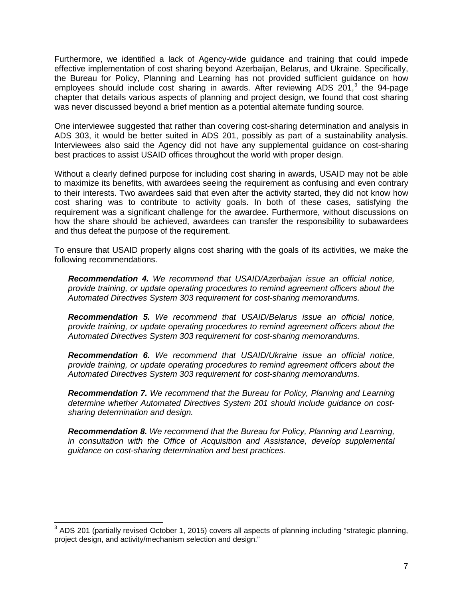Furthermore, we identified a lack of Agency-wide guidance and training that could impede effective implementation of cost sharing beyond Azerbaijan, Belarus, and Ukraine. Specifically, the Bureau for Policy, Planning and Learning has not provided sufficient guidance on how employees should include cost sharing in awards. After reviewing ADS 201,<sup>[3](#page-9-0)</sup> the 94-page chapter that details various aspects of planning and project design, we found that cost sharing was never discussed beyond a brief mention as a potential alternate funding source.

One interviewee suggested that rather than covering cost-sharing determination and analysis in ADS 303, it would be better suited in ADS 201, possibly as part of a sustainability analysis. Interviewees also said the Agency did not have any supplemental guidance on cost-sharing best practices to assist USAID offices throughout the world with proper design.

Without a clearly defined purpose for including cost sharing in awards, USAID may not be able to maximize its benefits, with awardees seeing the requirement as confusing and even contrary to their interests. Two awardees said that even after the activity started, they did not know how cost sharing was to contribute to activity goals. In both of these cases, satisfying the requirement was a significant challenge for the awardee. Furthermore, without discussions on how the share should be achieved, awardees can transfer the responsibility to subawardees and thus defeat the purpose of the requirement.

To ensure that USAID properly aligns cost sharing with the goals of its activities, we make the following recommendations.

*Recommendation 4. We recommend that USAID/Azerbaijan issue an official notice, provide training, or update operating procedures to remind agreement officers about the Automated Directives System 303 requirement for cost-sharing memorandums.*

*Recommendation 5. We recommend that USAID/Belarus issue an official notice, provide training, or update operating procedures to remind agreement officers about the Automated Directives System 303 requirement for cost-sharing memorandums.*

*Recommendation 6. We recommend that USAID/Ukraine issue an official notice, provide training, or update operating procedures to remind agreement officers about the Automated Directives System 303 requirement for cost-sharing memorandums.*

*Recommendation 7. We recommend that the Bureau for Policy, Planning and Learning determine whether Automated Directives System 201 should include guidance on costsharing determination and design.*

*Recommendation 8. We recommend that the Bureau for Policy, Planning and Learning, in consultation with the Office of Acquisition and Assistance, develop supplemental guidance on cost-sharing determination and best practices.* 

<span id="page-9-0"></span><sup>&</sup>lt;sup>3</sup> ADS 201 (partially revised October 1, 2015) covers all aspects of planning including "strategic planning, project design, and activity/mechanism selection and design."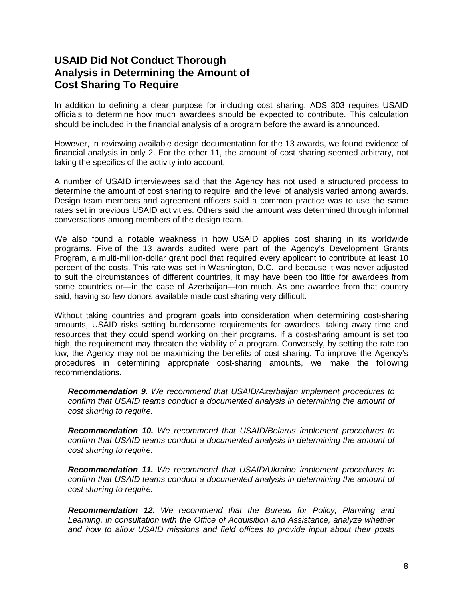## <span id="page-10-0"></span>**USAID Did Not Conduct Thorough Analysis in Determining the Amount of Cost Sharing To Require**

In addition to defining a clear purpose for including cost sharing, ADS 303 requires USAID officials to determine how much awardees should be expected to contribute. This calculation should be included in the financial analysis of a program before the award is announced.

However, in reviewing available design documentation for the 13 awards, we found evidence of financial analysis in only 2. For the other 11, the amount of cost sharing seemed arbitrary, not taking the specifics of the activity into account.

A number of USAID interviewees said that the Agency has not used a structured process to determine the amount of cost sharing to require, and the level of analysis varied among awards. Design team members and agreement officers said a common practice was to use the same rates set in previous USAID activities. Others said the amount was determined through informal conversations among members of the design team.

We also found a notable weakness in how USAID applies cost sharing in its worldwide programs. Five of the 13 awards audited were part of the Agency's Development Grants Program, a multi-million-dollar grant pool that required every applicant to contribute at least 10 percent of the costs. This rate was set in Washington, D.C., and because it was never adjusted to suit the circumstances of different countries, it may have been too little for awardees from some countries or—in the case of Azerbaijan—too much. As one awardee from that country said, having so few donors available made cost sharing very difficult.

Without taking countries and program goals into consideration when determining cost-sharing amounts, USAID risks setting burdensome requirements for awardees, taking away time and resources that they could spend working on their programs. If a cost-sharing amount is set too high, the requirement may threaten the viability of a program. Conversely, by setting the rate too low, the Agency may not be maximizing the benefits of cost sharing. To improve the Agency's procedures in determining appropriate cost-sharing amounts, we make the following recommendations.

*Recommendation 9. We recommend that USAID/Azerbaijan implement procedures to confirm that USAID teams conduct a documented analysis in determining the amount of cost sharing to require.*

*Recommendation 10. We recommend that USAID/Belarus implement procedures to confirm that USAID teams conduct a documented analysis in determining the amount of cost sharing to require.*

*Recommendation 11. We recommend that USAID/Ukraine implement procedures to confirm that USAID teams conduct a documented analysis in determining the amount of cost sharing to require.*

*Recommendation 12. We recommend that the Bureau for Policy, Planning and Learning, in consultation with the Office of Acquisition and Assistance, analyze whether and how to allow USAID missions and field offices to provide input about their posts*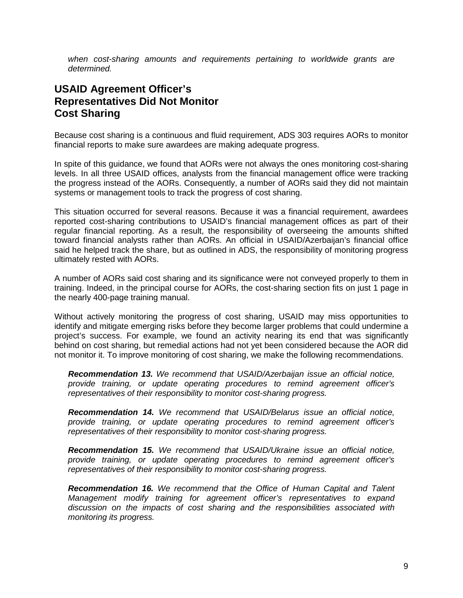*when cost-sharing amounts and requirements pertaining to worldwide grants are determined.* 

## <span id="page-11-0"></span>**USAID Agreement Officer's Representatives Did Not Monitor Cost Sharing**

Because cost sharing is a continuous and fluid requirement, ADS 303 requires AORs to monitor financial reports to make sure awardees are making adequate progress.

In spite of this guidance, we found that AORs were not always the ones monitoring cost-sharing levels. In all three USAID offices, analysts from the financial management office were tracking the progress instead of the AORs. Consequently, a number of AORs said they did not maintain systems or management tools to track the progress of cost sharing.

This situation occurred for several reasons. Because it was a financial requirement, awardees reported cost-sharing contributions to USAID's financial management offices as part of their regular financial reporting. As a result, the responsibility of overseeing the amounts shifted toward financial analysts rather than AORs. An official in USAID/Azerbaijan's financial office said he helped track the share, but as outlined in ADS, the responsibility of monitoring progress ultimately rested with AORs.

A number of AORs said cost sharing and its significance were not conveyed properly to them in training. Indeed, in the principal course for AORs, the cost-sharing section fits on just 1 page in the nearly 400-page training manual.

Without actively monitoring the progress of cost sharing, USAID may miss opportunities to identify and mitigate emerging risks before they become larger problems that could undermine a project's success. For example, we found an activity nearing its end that was significantly behind on cost sharing, but remedial actions had not yet been considered because the AOR did not monitor it. To improve monitoring of cost sharing, we make the following recommendations.

*Recommendation 13. We recommend that USAID/Azerbaijan issue an official notice, provide training, or update operating procedures to remind agreement officer's representatives of their responsibility to monitor cost-sharing progress.*

*Recommendation 14. We recommend that USAID/Belarus issue an official notice, provide training, or update operating procedures to remind agreement officer's representatives of their responsibility to monitor cost-sharing progress.*

*Recommendation 15. We recommend that USAID/Ukraine issue an official notice, provide training, or update operating procedures to remind agreement officer's representatives of their responsibility to monitor cost-sharing progress.*

*Recommendation 16. We recommend that the Office of Human Capital and Talent Management modify training for agreement officer's representatives to expand discussion on the impacts of cost sharing and the responsibilities associated with monitoring its progress.*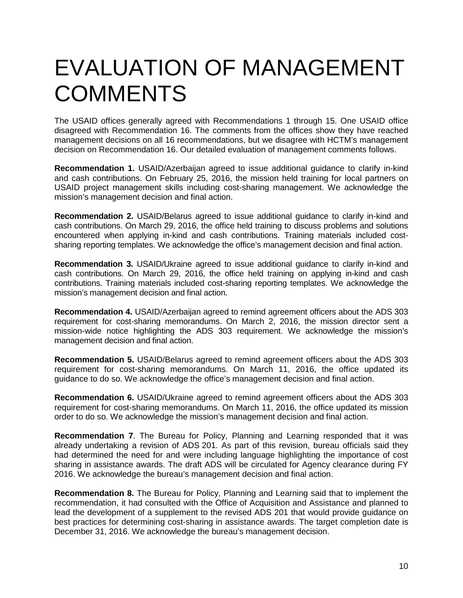## <span id="page-12-0"></span>EVALUATION OF MANAGEMENT **COMMENTS**

The USAID offices generally agreed with Recommendations 1 through 15. One USAID office disagreed with Recommendation 16. The comments from the offices show they have reached management decisions on all 16 recommendations, but we disagree with HCTM's management decision on Recommendation 16. Our detailed evaluation of management comments follows.

**Recommendation 1.** USAID/Azerbaijan agreed to issue additional guidance to clarify in-kind and cash contributions. On February 25, 2016, the mission held training for local partners on USAID project management skills including cost-sharing management. We acknowledge the mission's management decision and final action.

**Recommendation 2.** USAID/Belarus agreed to issue additional guidance to clarify in-kind and cash contributions. On March 29, 2016, the office held training to discuss problems and solutions encountered when applying in-kind and cash contributions. Training materials included costsharing reporting templates. We acknowledge the office's management decision and final action.

**Recommendation 3.** USAID/Ukraine agreed to issue additional guidance to clarify in-kind and cash contributions. On March 29, 2016, the office held training on applying in-kind and cash contributions. Training materials included cost-sharing reporting templates. We acknowledge the mission's management decision and final action.

**Recommendation 4.** USAID/Azerbaijan agreed to remind agreement officers about the ADS 303 requirement for cost-sharing memorandums. On March 2, 2016, the mission director sent a mission-wide notice highlighting the ADS 303 requirement. We acknowledge the mission's management decision and final action.

**Recommendation 5.** USAID/Belarus agreed to remind agreement officers about the ADS 303 requirement for cost-sharing memorandums. On March 11, 2016, the office updated its guidance to do so. We acknowledge the office's management decision and final action.

**Recommendation 6.** USAID/Ukraine agreed to remind agreement officers about the ADS 303 requirement for cost-sharing memorandums. On March 11, 2016, the office updated its mission order to do so. We acknowledge the mission's management decision and final action.

**Recommendation 7**. The Bureau for Policy, Planning and Learning responded that it was already undertaking a revision of ADS 201. As part of this revision, bureau officials said they had determined the need for and were including language highlighting the importance of cost sharing in assistance awards. The draft ADS will be circulated for Agency clearance during FY 2016. We acknowledge the bureau's management decision and final action.

**Recommendation 8.** The Bureau for Policy, Planning and Learning said that to implement the recommendation, it had consulted with the Office of Acquisition and Assistance and planned to lead the development of a supplement to the revised ADS 201 that would provide guidance on best practices for determining cost-sharing in assistance awards. The target completion date is December 31, 2016. We acknowledge the bureau's management decision.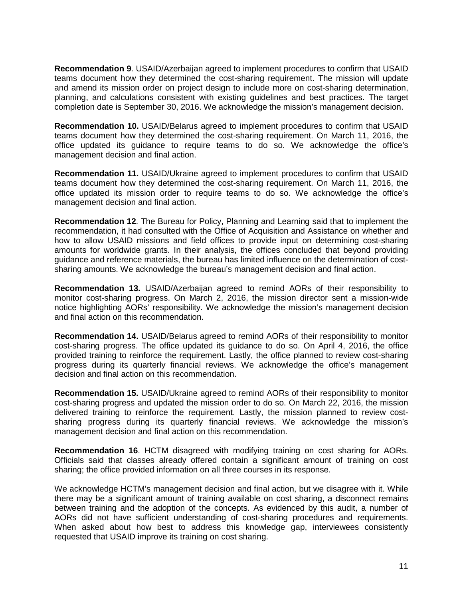**Recommendation 9**. USAID/Azerbaijan agreed to implement procedures to confirm that USAID teams document how they determined the cost-sharing requirement. The mission will update and amend its mission order on project design to include more on cost-sharing determination, planning, and calculations consistent with existing guidelines and best practices. The target completion date is September 30, 2016. We acknowledge the mission's management decision.

**Recommendation 10.** USAID/Belarus agreed to implement procedures to confirm that USAID teams document how they determined the cost-sharing requirement. On March 11, 2016, the office updated its guidance to require teams to do so. We acknowledge the office's management decision and final action.

**Recommendation 11.** USAID/Ukraine agreed to implement procedures to confirm that USAID teams document how they determined the cost-sharing requirement. On March 11, 2016, the office updated its mission order to require teams to do so. We acknowledge the office's management decision and final action.

**Recommendation 12**. The Bureau for Policy, Planning and Learning said that to implement the recommendation, it had consulted with the Office of Acquisition and Assistance on whether and how to allow USAID missions and field offices to provide input on determining cost-sharing amounts for worldwide grants. In their analysis, the offices concluded that beyond providing guidance and reference materials, the bureau has limited influence on the determination of costsharing amounts. We acknowledge the bureau's management decision and final action.

**Recommendation 13.** USAID/Azerbaijan agreed to remind AORs of their responsibility to monitor cost-sharing progress. On March 2, 2016, the mission director sent a mission-wide notice highlighting AORs' responsibility. We acknowledge the mission's management decision and final action on this recommendation.

**Recommendation 14.** USAID/Belarus agreed to remind AORs of their responsibility to monitor cost-sharing progress. The office updated its guidance to do so. On April 4, 2016, the office provided training to reinforce the requirement. Lastly, the office planned to review cost-sharing progress during its quarterly financial reviews. We acknowledge the office's management decision and final action on this recommendation.

**Recommendation 15.** USAID/Ukraine agreed to remind AORs of their responsibility to monitor cost-sharing progress and updated the mission order to do so. On March 22, 2016, the mission delivered training to reinforce the requirement. Lastly, the mission planned to review costsharing progress during its quarterly financial reviews. We acknowledge the mission's management decision and final action on this recommendation.

**Recommendation 16**. HCTM disagreed with modifying training on cost sharing for AORs. Officials said that classes already offered contain a significant amount of training on cost sharing; the office provided information on all three courses in its response.

We acknowledge HCTM's management decision and final action, but we disagree with it. While there may be a significant amount of training available on cost sharing, a disconnect remains between training and the adoption of the concepts. As evidenced by this audit, a number of AORs did not have sufficient understanding of cost-sharing procedures and requirements. When asked about how best to address this knowledge gap, interviewees consistently requested that USAID improve its training on cost sharing.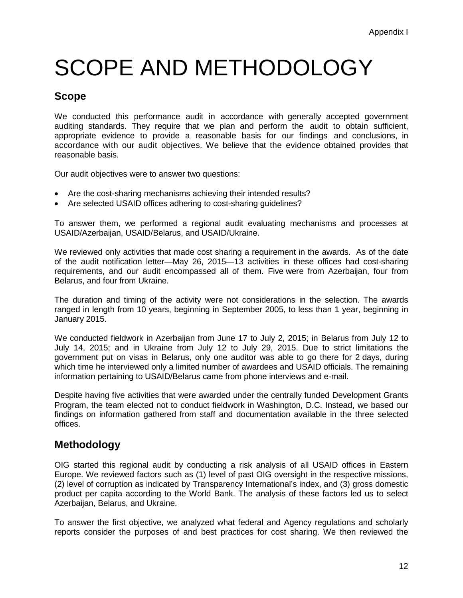## <span id="page-14-0"></span>SCOPE AND METHODOLOGY

## **Scope**

We conducted this performance audit in accordance with generally accepted government auditing standards. They require that we plan and perform the audit to obtain sufficient, appropriate evidence to provide a reasonable basis for our findings and conclusions, in accordance with our audit objectives. We believe that the evidence obtained provides that reasonable basis.

Our audit objectives were to answer two questions:

- Are the cost-sharing mechanisms achieving their intended results?
- Are selected USAID offices adhering to cost-sharing guidelines?

To answer them, we performed a regional audit evaluating mechanisms and processes at USAID/Azerbaijan, USAID/Belarus, and USAID/Ukraine.

We reviewed only activities that made cost sharing a requirement in the awards. As of the date of the audit notification letter—May 26, 2015—13 activities in these offices had cost-sharing requirements, and our audit encompassed all of them. Five were from Azerbaijan, four from Belarus, and four from Ukraine.

The duration and timing of the activity were not considerations in the selection. The awards ranged in length from 10 years, beginning in September 2005, to less than 1 year, beginning in January 2015.

We conducted fieldwork in Azerbaijan from June 17 to July 2, 2015; in Belarus from July 12 to July 14, 2015; and in Ukraine from July 12 to July 29, 2015. Due to strict limitations the government put on visas in Belarus, only one auditor was able to go there for 2 days, during which time he interviewed only a limited number of awardees and USAID officials. The remaining information pertaining to USAID/Belarus came from phone interviews and e-mail.

Despite having five activities that were awarded under the centrally funded Development Grants Program, the team elected not to conduct fieldwork in Washington, D.C. Instead, we based our findings on information gathered from staff and documentation available in the three selected offices.

## **Methodology**

OIG started this regional audit by conducting a risk analysis of all USAID offices in Eastern Europe. We reviewed factors such as (1) level of past OIG oversight in the respective missions, (2) level of corruption as indicated by Transparency International's index, and (3) gross domestic product per capita according to the World Bank. The analysis of these factors led us to select Azerbaijan, Belarus, and Ukraine.

To answer the first objective, we analyzed what federal and Agency regulations and scholarly reports consider the purposes of and best practices for cost sharing. We then reviewed the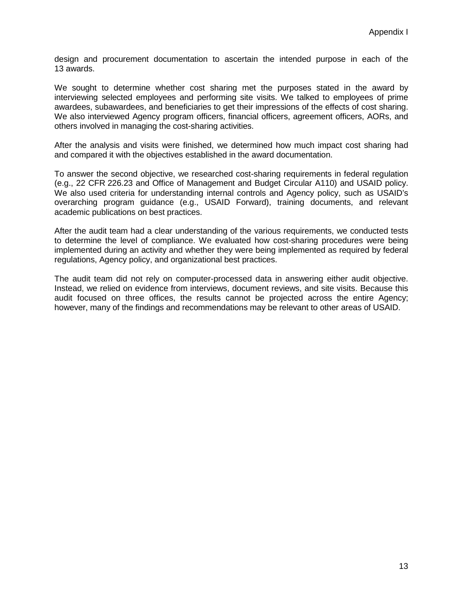design and procurement documentation to ascertain the intended purpose in each of the 13 awards.

We sought to determine whether cost sharing met the purposes stated in the award by interviewing selected employees and performing site visits. We talked to employees of prime awardees, subawardees, and beneficiaries to get their impressions of the effects of cost sharing. We also interviewed Agency program officers, financial officers, agreement officers, AORs, and others involved in managing the cost-sharing activities.

After the analysis and visits were finished, we determined how much impact cost sharing had and compared it with the objectives established in the award documentation.

To answer the second objective, we researched cost-sharing requirements in federal regulation (e.g., 22 CFR 226.23 and Office of Management and Budget Circular A110) and USAID policy. We also used criteria for understanding internal controls and Agency policy, such as USAID's overarching program guidance (e.g., USAID Forward), training documents, and relevant academic publications on best practices.

After the audit team had a clear understanding of the various requirements, we conducted tests to determine the level of compliance. We evaluated how cost-sharing procedures were being implemented during an activity and whether they were being implemented as required by federal regulations, Agency policy, and organizational best practices.

The audit team did not rely on computer-processed data in answering either audit objective. Instead, we relied on evidence from interviews, document reviews, and site visits. Because this audit focused on three offices, the results cannot be projected across the entire Agency; however, many of the findings and recommendations may be relevant to other areas of USAID.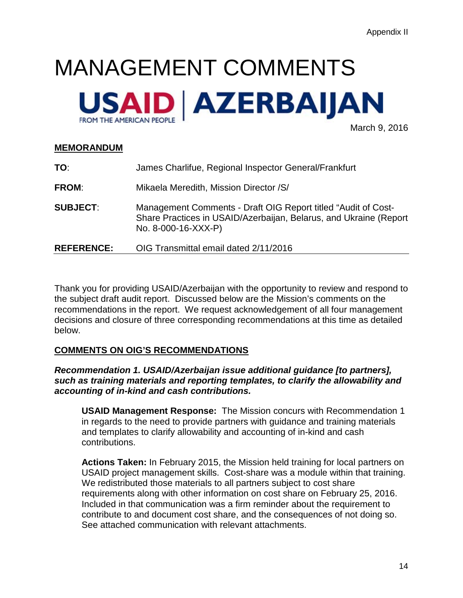# <span id="page-16-0"></span>MANAGEMENT COMMENTS



March 9, 2016

## **MEMORANDUM**

| TO:               | James Charlifue, Regional Inspector General/Frankfurt                                                                                                     |
|-------------------|-----------------------------------------------------------------------------------------------------------------------------------------------------------|
| <b>FROM:</b>      | Mikaela Meredith, Mission Director / S/                                                                                                                   |
| <b>SUBJECT:</b>   | Management Comments - Draft OIG Report titled "Audit of Cost-<br>Share Practices in USAID/Azerbaijan, Belarus, and Ukraine (Report<br>No. 8-000-16-XXX-P) |
| <b>REFERENCE:</b> | OIG Transmittal email dated 2/11/2016                                                                                                                     |

Thank you for providing USAID/Azerbaijan with the opportunity to review and respond to the subject draft audit report. Discussed below are the Mission's comments on the recommendations in the report. We request acknowledgement of all four management decisions and closure of three corresponding recommendations at this time as detailed below.

## **COMMENTS ON OIG'S RECOMMENDATIONS**

## *Recommendation 1. USAID/Azerbaijan issue additional guidance [to partners], such as training materials and reporting templates, to clarify the allowability and accounting of in-kind and cash contributions.*

**USAID Management Response:** The Mission concurs with Recommendation 1 in regards to the need to provide partners with guidance and training materials and templates to clarify allowability and accounting of in-kind and cash contributions.

**Actions Taken:** In February 2015, the Mission held training for local partners on USAID project management skills. Cost-share was a module within that training. We redistributed those materials to all partners subject to cost share requirements along with other information on cost share on February 25, 2016. Included in that communication was a firm reminder about the requirement to contribute to and document cost share, and the consequences of not doing so. See attached communication with relevant attachments.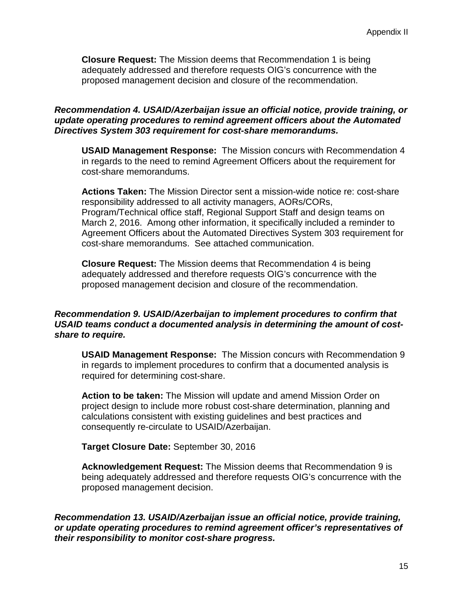**Closure Request:** The Mission deems that Recommendation 1 is being adequately addressed and therefore requests OIG's concurrence with the proposed management decision and closure of the recommendation.

## *Recommendation 4. USAID/Azerbaijan issue an official notice, provide training, or update operating procedures to remind agreement officers about the Automated Directives System 303 requirement for cost-share memorandums.*

**USAID Management Response:** The Mission concurs with Recommendation 4 in regards to the need to remind Agreement Officers about the requirement for cost-share memorandums.

**Actions Taken:** The Mission Director sent a mission-wide notice re: cost-share responsibility addressed to all activity managers, AORs/CORs, Program/Technical office staff, Regional Support Staff and design teams on March 2, 2016. Among other information, it specifically included a reminder to Agreement Officers about the Automated Directives System 303 requirement for cost-share memorandums. See attached communication.

**Closure Request:** The Mission deems that Recommendation 4 is being adequately addressed and therefore requests OIG's concurrence with the proposed management decision and closure of the recommendation.

## *Recommendation 9. USAID/Azerbaijan to implement procedures to confirm that USAID teams conduct a documented analysis in determining the amount of costshare to require.*

**USAID Management Response:** The Mission concurs with Recommendation 9 in regards to implement procedures to confirm that a documented analysis is required for determining cost-share.

**Action to be taken:** The Mission will update and amend Mission Order on project design to include more robust cost-share determination, planning and calculations consistent with existing guidelines and best practices and consequently re-circulate to USAID/Azerbaijan.

**Target Closure Date:** September 30, 2016

**Acknowledgement Request:** The Mission deems that Recommendation 9 is being adequately addressed and therefore requests OIG's concurrence with the proposed management decision.

*Recommendation 13. USAID/Azerbaijan issue an official notice, provide training, or update operating procedures to remind agreement officer's representatives of their responsibility to monitor cost-share progress.*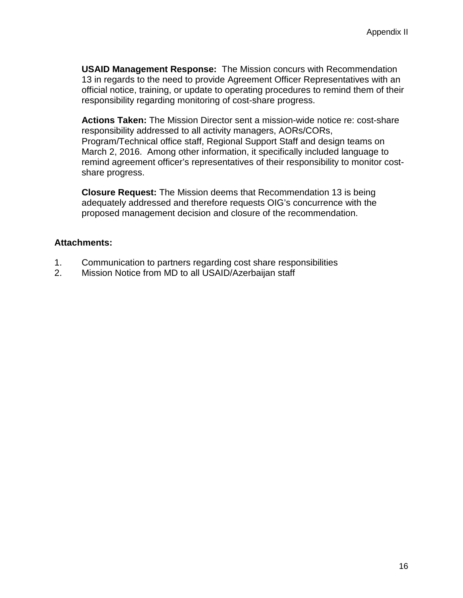**USAID Management Response:** The Mission concurs with Recommendation 13 in regards to the need to provide Agreement Officer Representatives with an official notice, training, or update to operating procedures to remind them of their responsibility regarding monitoring of cost-share progress.

**Actions Taken:** The Mission Director sent a mission-wide notice re: cost-share responsibility addressed to all activity managers, AORs/CORs, Program/Technical office staff, Regional Support Staff and design teams on March 2, 2016. Among other information, it specifically included language to remind agreement officer's representatives of their responsibility to monitor costshare progress.

**Closure Request:** The Mission deems that Recommendation 13 is being adequately addressed and therefore requests OIG's concurrence with the proposed management decision and closure of the recommendation.

## **Attachments:**

- 1. Communication to partners regarding cost share responsibilities
- 2. Mission Notice from MD to all USAID/Azerbaijan staff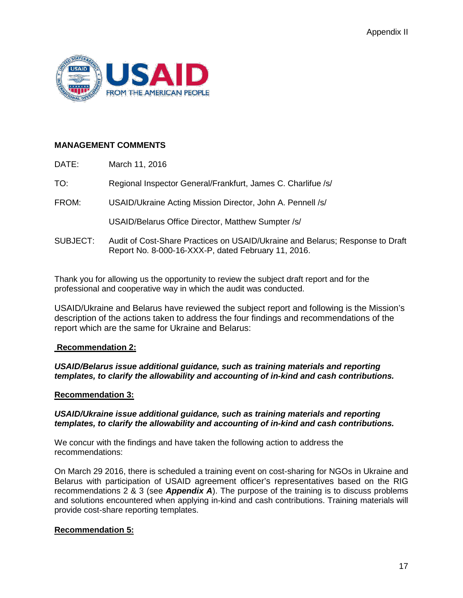

## **MANAGEMENT COMMENTS**

| DATE:    | March 11, 2016                                                                                                                       |
|----------|--------------------------------------------------------------------------------------------------------------------------------------|
| TO:      | Regional Inspector General/Frankfurt, James C. Charlifue /s/                                                                         |
| FROM:    | USAID/Ukraine Acting Mission Director, John A. Pennell /s/                                                                           |
|          | USAID/Belarus Office Director, Matthew Sumpter /s/                                                                                   |
| SUBJECT: | Audit of Cost-Share Practices on USAID/Ukraine and Belarus; Response to Draft<br>Report No. 8-000-16-XXX-P, dated February 11, 2016. |

Thank you for allowing us the opportunity to review the subject draft report and for the professional and cooperative way in which the audit was conducted.

USAID/Ukraine and Belarus have reviewed the subject report and following is the Mission's description of the actions taken to address the four findings and recommendations of the report which are the same for Ukraine and Belarus:

### **Recommendation 2:**

### *USAID/Belarus issue additional guidance, such as training materials and reporting templates, to clarify the allowability and accounting of in-kind and cash contributions.*

### **Recommendation 3:**

### *USAID/Ukraine issue additional guidance, such as training materials and reporting templates, to clarify the allowability and accounting of in-kind and cash contributions.*

We concur with the findings and have taken the following action to address the recommendations:

On March 29 2016, there is scheduled a training event on cost-sharing for NGOs in Ukraine and Belarus with participation of USAID agreement officer's representatives based on the RIG recommendations 2 & 3 (see *Appendix A*). The purpose of the training is to discuss problems and solutions encountered when applying in-kind and cash contributions. Training materials will provide cost-share reporting templates.

### **Recommendation 5:**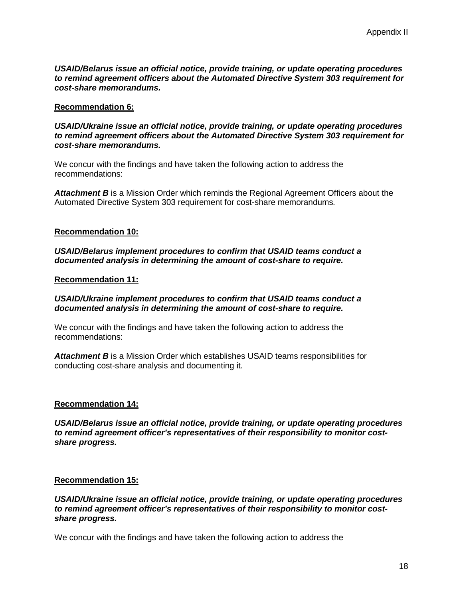*USAID/Belarus issue an official notice, provide training, or update operating procedures to remind agreement officers about the Automated Directive System 303 requirement for cost-share memorandums.*

#### **Recommendation 6:**

*USAID/Ukraine issue an official notice, provide training, or update operating procedures to remind agreement officers about the Automated Directive System 303 requirement for cost-share memorandums.*

We concur with the findings and have taken the following action to address the recommendations:

*Attachment B* is a Mission Order which reminds the Regional Agreement Officers about the Automated Directive System 303 requirement for cost-share memorandums*.*

#### **Recommendation 10:**

*USAID/Belarus implement procedures to confirm that USAID teams conduct a documented analysis in determining the amount of cost-share to require.*

#### **Recommendation 11:**

#### *USAID/Ukraine implement procedures to confirm that USAID teams conduct a documented analysis in determining the amount of cost-share to require.*

We concur with the findings and have taken the following action to address the recommendations:

*Attachment B* is a Mission Order which establishes USAID teams responsibilities for conducting cost-share analysis and documenting it*.*

#### **Recommendation 14:**

*USAID/Belarus issue an official notice, provide training, or update operating procedures to remind agreement officer's representatives of their responsibility to monitor costshare progress.*

#### **Recommendation 15:**

*USAID/Ukraine issue an official notice, provide training, or update operating procedures to remind agreement officer's representatives of their responsibility to monitor costshare progress.*

We concur with the findings and have taken the following action to address the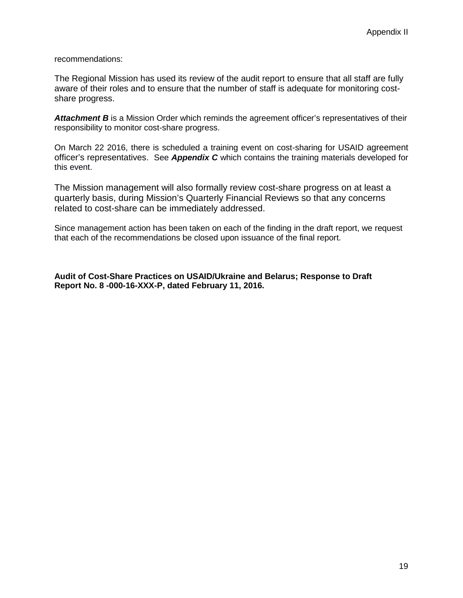recommendations:

The Regional Mission has used its review of the audit report to ensure that all staff are fully aware of their roles and to ensure that the number of staff is adequate for monitoring costshare progress.

Attachment B is a Mission Order which reminds the agreement officer's representatives of their responsibility to monitor cost-share progress.

On March 22 2016, there is scheduled a training event on cost-sharing for USAID agreement officer's representatives. See *Appendix C* which contains the training materials developed for this event.

The Mission management will also formally review cost-share progress on at least a quarterly basis, during Mission's Quarterly Financial Reviews so that any concerns related to cost-share can be immediately addressed.

Since management action has been taken on each of the finding in the draft report, we request that each of the recommendations be closed upon issuance of the final report.

**Audit of Cost-Share Practices on USAID/Ukraine and Belarus; Response to Draft Report No. 8 -000-16-XXX-P, dated February 11, 2016.**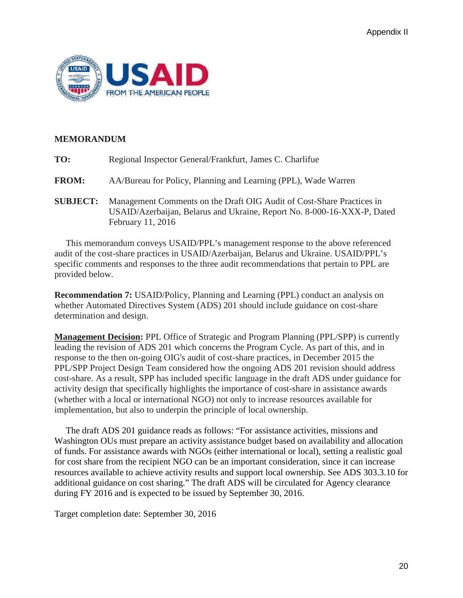

## **MEMORANDUM**

| TO:             | Regional Inspector General/Frankfurt, James C. Charlifue                                                                                                              |
|-----------------|-----------------------------------------------------------------------------------------------------------------------------------------------------------------------|
| <b>FROM:</b>    | AA/Bureau for Policy, Planning and Learning (PPL), Wade Warren                                                                                                        |
| <b>SUBJECT:</b> | Management Comments on the Draft OIG Audit of Cost-Share Practices in<br>USAID/Azerbaijan, Belarus and Ukraine, Report No. 8-000-16-XXX-P, Dated<br>February 11, 2016 |

 This memorandum conveys USAID/PPL's management response to the above referenced audit of the cost-share practices in USAID/Azerbaijan, Belarus and Ukraine. USAID/PPL's specific comments and responses to the three audit recommendations that pertain to PPL are provided below.

**Recommendation 7:** USAID/Policy, Planning and Learning (PPL) conduct an analysis on whether Automated Directives System (ADS) 201 should include guidance on cost-share determination and design.

**Management Decision:** PPL Office of Strategic and Program Planning (PPL/SPP) is currently leading the revision of ADS 201 which concerns the Program Cycle. As part of this, and in response to the then on-going OIG's audit of cost-share practices, in December 2015 the PPL/SPP Project Design Team considered how the ongoing ADS 201 revision should address cost-share. As a result, SPP has included specific language in the draft ADS under guidance for activity design that specifically highlights the importance of cost-share in assistance awards (whether with a local or international NGO) not only to increase resources available for implementation, but also to underpin the principle of local ownership.

 The draft ADS 201 guidance reads as follows: "For assistance activities, missions and Washington OUs must prepare an activity assistance budget based on availability and allocation of funds. For assistance awards with NGOs (either international or local), setting a realistic goal for cost share from the recipient NGO can be an important consideration, since it can increase resources available to achieve activity results and support local ownership. See ADS 303.3.10 for additional guidance on cost sharing." The draft ADS will be circulated for Agency clearance during FY 2016 and is expected to be issued by September 30, 2016.

Target completion date: September 30, 2016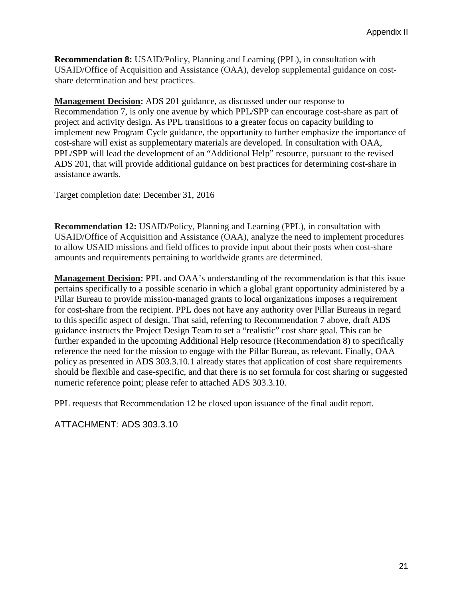**Recommendation 8:** USAID/Policy, Planning and Learning (PPL), in consultation with USAID/Office of Acquisition and Assistance (OAA), develop supplemental guidance on costshare determination and best practices.

**Management Decision:** ADS 201 guidance, as discussed under our response to Recommendation 7, is only one avenue by which PPL/SPP can encourage cost-share as part of project and activity design. As PPL transitions to a greater focus on capacity building to implement new Program Cycle guidance, the opportunity to further emphasize the importance of cost-share will exist as supplementary materials are developed. In consultation with OAA, PPL/SPP will lead the development of an "Additional Help" resource, pursuant to the revised ADS 201, that will provide additional guidance on best practices for determining cost-share in assistance awards.

Target completion date: December 31, 2016

**Recommendation 12:** USAID/Policy, Planning and Learning (PPL), in consultation with USAID/Office of Acquisition and Assistance (OAA), analyze the need to implement procedures to allow USAID missions and field offices to provide input about their posts when cost-share amounts and requirements pertaining to worldwide grants are determined.

**Management Decision:** PPL and OAA's understanding of the recommendation is that this issue pertains specifically to a possible scenario in which a global grant opportunity administered by a Pillar Bureau to provide mission-managed grants to local organizations imposes a requirement for cost-share from the recipient. PPL does not have any authority over Pillar Bureaus in regard to this specific aspect of design. That said, referring to Recommendation 7 above, draft ADS guidance instructs the Project Design Team to set a "realistic" cost share goal. This can be further expanded in the upcoming Additional Help resource (Recommendation 8) to specifically reference the need for the mission to engage with the Pillar Bureau, as relevant. Finally, OAA policy as presented in ADS 303.3.10.1 already states that application of cost share requirements should be flexible and case-specific, and that there is no set formula for cost sharing or suggested numeric reference point; please refer to attached ADS 303.3.10.

PPL requests that Recommendation 12 be closed upon issuance of the final audit report.

ATTACHMENT: ADS 303.3.10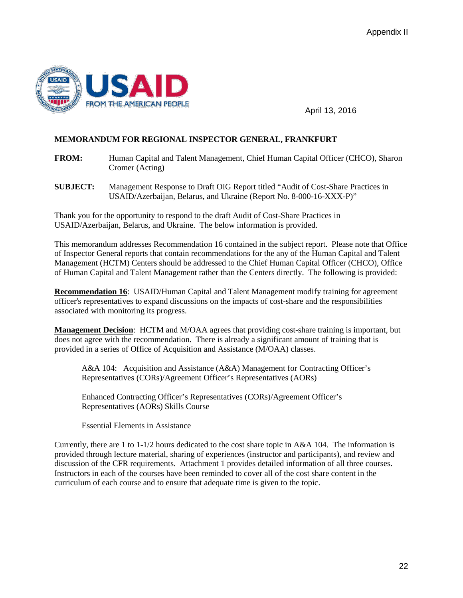

April 13, 2016

## **MEMORANDUM FOR REGIONAL INSPECTOR GENERAL, FRANKFURT**

- **FROM:** Human Capital and Talent Management, Chief Human Capital Officer (CHCO), Sharon Cromer (Acting)
- **SUBJECT:** Management Response to Draft OIG Report titled "Audit of Cost-Share Practices in USAID/Azerbaijan, Belarus, and Ukraine (Report No. 8-000-16-XXX-P)"

Thank you for the opportunity to respond to the draft Audit of Cost-Share Practices in USAID/Azerbaijan, Belarus, and Ukraine. The below information is provided.

This memorandum addresses Recommendation 16 contained in the subject report. Please note that Office of Inspector General reports that contain recommendations for the any of the Human Capital and Talent Management (HCTM) Centers should be addressed to the Chief Human Capital Officer (CHCO), Office of Human Capital and Talent Management rather than the Centers directly. The following is provided:

**Recommendation 16**: USAID/Human Capital and Talent Management modify training for agreement officer's representatives to expand discussions on the impacts of cost-share and the responsibilities associated with monitoring its progress.

**Management Decision**: HCTM and M/OAA agrees that providing cost-share training is important, but does not agree with the recommendation. There is already a significant amount of training that is provided in a series of Office of Acquisition and Assistance (M/OAA) classes.

A&A 104: Acquisition and Assistance (A&A) Management for Contracting Officer's Representatives (CORs)/Agreement Officer's Representatives (AORs)

Enhanced Contracting Officer's Representatives (CORs)/Agreement Officer's Representatives (AORs) Skills Course

Essential Elements in Assistance

Currently, there are 1 to 1-1/2 hours dedicated to the cost share topic in A&A 104. The information is provided through lecture material, sharing of experiences (instructor and participants), and review and discussion of the CFR requirements. Attachment 1 provides detailed information of all three courses. Instructors in each of the courses have been reminded to cover all of the cost share content in the curriculum of each course and to ensure that adequate time is given to the topic.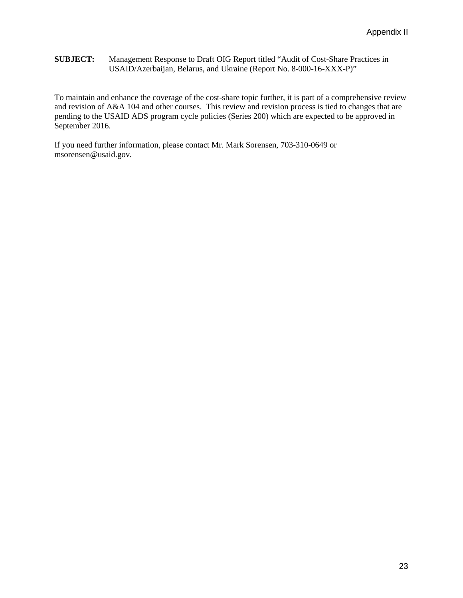#### **SUBJECT:** Management Response to Draft OIG Report titled "Audit of Cost-Share Practices in USAID/Azerbaijan, Belarus, and Ukraine (Report No. 8-000-16-XXX-P)"

To maintain and enhance the coverage of the cost-share topic further, it is part of a comprehensive review and revision of A&A 104 and other courses. This review and revision process is tied to changes that are pending to the USAID ADS program cycle policies (Series 200) which are expected to be approved in September 2016.

If you need further information, please contact Mr. Mark Sorensen, 703-310-0649 or msorensen@usaid.gov.